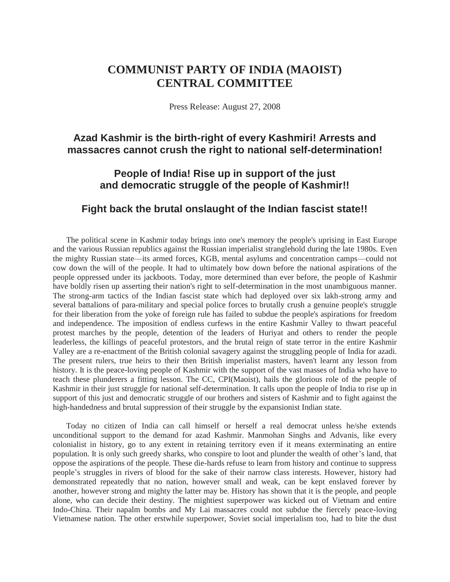## **COMMUNIST PARTY OF INDIA (MAOIST) CENTRAL COMMITTEE**

Press Release: August 27, 2008

## **Azad Kashmir is the birth-right of every Kashmiri! Arrests and massacres cannot crush the right to national self-determination!**

## **People of India! Rise up in support of the just and democratic struggle of the people of Kashmir!!**

## **Fight back the brutal onslaught of the Indian fascist state!!**

The political scene in Kashmir today brings into one's memory the people's uprising in East Europe and the various Russian republics against the Russian imperialist stranglehold during the late 1980s. Even the mighty Russian state—its armed forces, KGB, mental asylums and concentration camps—could not cow down the will of the people. It had to ultimately bow down before the national aspirations of the people oppressed under its jackboots. Today, more determined than ever before, the people of Kashmir have boldly risen up asserting their nation's right to self-determination in the most unambiguous manner. The strong-arm tactics of the Indian fascist state which had deployed over six lakh-strong army and several battalions of para-military and special police forces to brutally crush a genuine people's struggle for their liberation from the yoke of foreign rule has failed to subdue the people's aspirations for freedom and independence. The imposition of endless curfews in the entire Kashmir Valley to thwart peaceful protest marches by the people, detention of the leaders of Huriyat and others to render the people leaderless, the killings of peaceful protestors, and the brutal reign of state terror in the entire Kashmir Valley are a re-enactment of the British colonial savagery against the struggling people of India for azadi. The present rulers, true heirs to their then British imperialist masters, haven't learnt any lesson from history. It is the peace-loving people of Kashmir with the support of the vast masses of India who have to teach these plunderers a fitting lesson. The CC, CPI(Maoist), hails the glorious role of the people of Kashmir in their just struggle for national self-determination. It calls upon the people of India to rise up in support of this just and democratic struggle of our brothers and sisters of Kashmir and to fight against the high-handedness and brutal suppression of their struggle by the expansionist Indian state.

Today no citizen of India can call himself or herself a real democrat unless he/she extends unconditional support to the demand for azad Kashmir. Manmohan Singhs and Advanis, like every colonialist in history, go to any extent in retaining territory even if it means exterminating an entire population. It is only such greedy sharks, who conspire to loot and plunder the wealth of other's land, that oppose the aspirations of the people. These die-hards refuse to learn from history and continue to suppress people's struggles in rivers of blood for the sake of their narrow class interests. However, history had demonstrated repeatedly that no nation, however small and weak, can be kept enslaved forever by another, however strong and mighty the latter may be. History has shown that it is the people, and people alone, who can decide their destiny. The mightiest superpower was kicked out of Vietnam and entire Indo-China. Their napalm bombs and My Lai massacres could not subdue the fiercely peace-loving Vietnamese nation. The other erstwhile superpower, Soviet social imperialism too, had to bite the dust